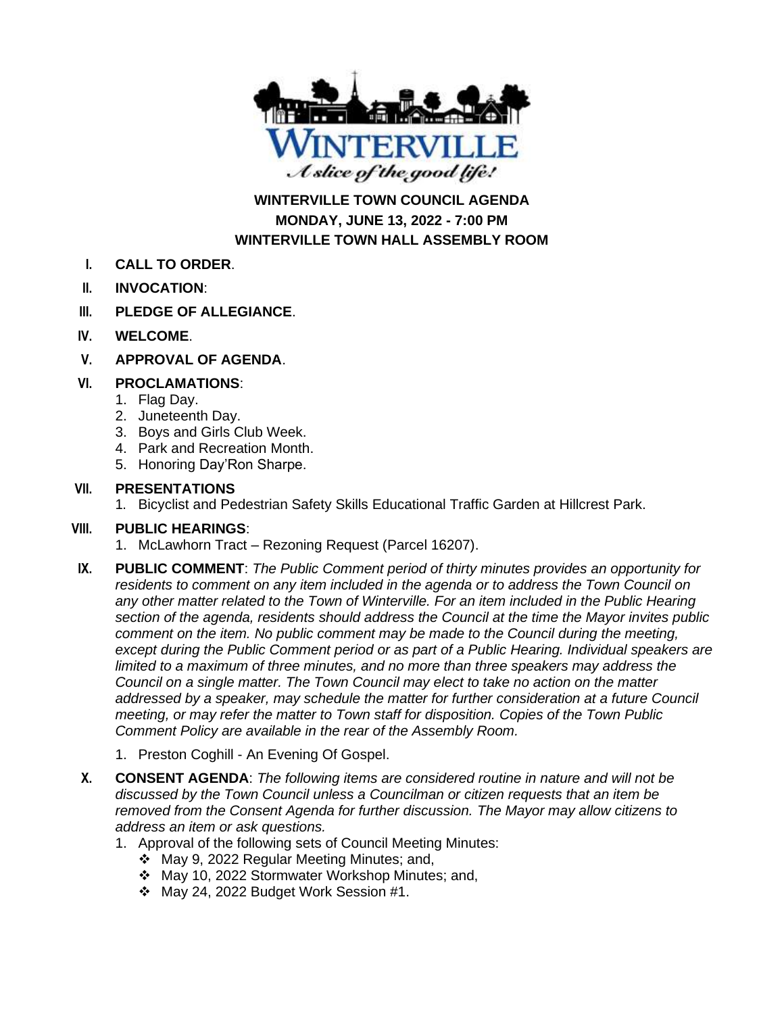

**WINTERVILLE TOWN COUNCIL AGENDA MONDAY, JUNE 13, 2022 - 7:00 PM WINTERVILLE TOWN HALL ASSEMBLY ROOM**

- **I. CALL TO ORDER**.
- **II. INVOCATION**:
- **III. PLEDGE OF ALLEGIANCE**.
- **IV. WELCOME**.
- **V. APPROVAL OF AGENDA**.

#### **VI. PROCLAMATIONS**:

- 1. Flag Day.
- 2. Juneteenth Day.
- 3. Boys and Girls Club Week.
- 4. Park and Recreation Month.
- 5. Honoring Day'Ron Sharpe.

#### **VII. PRESENTATIONS**

1. Bicyclist and Pedestrian Safety Skills Educational Traffic Garden at Hillcrest Park.

### **VIII. PUBLIC HEARINGS**:

- 1. McLawhorn Tract Rezoning Request (Parcel 16207).
- **IX. PUBLIC COMMENT**: *The Public Comment period of thirty minutes provides an opportunity for residents to comment on any item included in the agenda or to address the Town Council on*  any other matter related to the Town of Winterville. For an item included in the Public Hearing *section of the agenda, residents should address the Council at the time the Mayor invites public comment on the item. No public comment may be made to the Council during the meeting, except during the Public Comment period or as part of a Public Hearing. Individual speakers are limited to a maximum of three minutes, and no more than three speakers may address the Council on a single matter. The Town Council may elect to take no action on the matter addressed by a speaker, may schedule the matter for further consideration at a future Council meeting, or may refer the matter to Town staff for disposition. Copies of the Town Public Comment Policy are available in the rear of the Assembly Room.*
	- 1. Preston Coghill An Evening Of Gospel.
- **X. CONSENT AGENDA**: *The following items are considered routine in nature and will not be discussed by the Town Council unless a Councilman or citizen requests that an item be removed from the Consent Agenda for further discussion. The Mayor may allow citizens to address an item or ask questions.*
	- 1. Approval of the following sets of Council Meeting Minutes:
		- ❖ May 9, 2022 Regular Meeting Minutes; and,
		- ❖ May 10, 2022 Stormwater Workshop Minutes; and,
		- ❖ May 24, 2022 Budget Work Session #1.